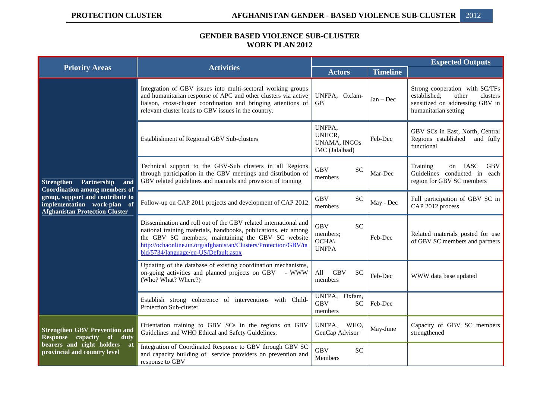## **GENDER BASED VIOLENCE SUB-CLUSTER WORK PLAN 2012**

| <b>Priority Areas</b>                                                                                                                                                                       | <b>Activities</b>                                                                                                                                                                                                                                                                                   | <b>Expected Outputs</b>                                                |                 |                                                                                                                                |
|---------------------------------------------------------------------------------------------------------------------------------------------------------------------------------------------|-----------------------------------------------------------------------------------------------------------------------------------------------------------------------------------------------------------------------------------------------------------------------------------------------------|------------------------------------------------------------------------|-----------------|--------------------------------------------------------------------------------------------------------------------------------|
|                                                                                                                                                                                             |                                                                                                                                                                                                                                                                                                     | <b>Actors</b>                                                          | <b>Timeline</b> |                                                                                                                                |
| <b>Strengthen</b><br>Partnership<br>and<br><b>Coordination among members of</b><br>group, support and contribute to<br>implementation work-plan of<br><b>Afghanistan Protection Cluster</b> | Integration of GBV issues into multi-sectoral working groups<br>and humanitarian response of APC and other clusters via active<br>liaison, cross-cluster coordination and bringing attentions of<br>relevant cluster leads to GBV issues in the country.                                            | UNFPA, Oxfam-<br><b>GB</b>                                             | $Jan - Dec$     | Strong cooperation with SC/TFs<br>established;<br>other<br>clusters<br>sensitized on addressing GBV in<br>humanitarian setting |
|                                                                                                                                                                                             | Establishment of Regional GBV Sub-clusters                                                                                                                                                                                                                                                          | UNFPA,<br>UNHCR,<br><b>UNAMA, INGOs</b><br>IMC (Jalalbad)              | Feb-Dec         | GBV SCs in East, North, Central<br>Regions established<br>and fully<br>functional                                              |
|                                                                                                                                                                                             | Technical support to the GBV-Sub clusters in all Regions<br>through participation in the GBV meetings and distribution of<br>GBV related guidelines and manuals and provision of training                                                                                                           | <b>GBV</b><br><b>SC</b><br>members                                     | Mar-Dec         | on IASC<br><b>GBV</b><br>Training<br>Guidelines conducted in<br>each<br>region for GBV SC members                              |
|                                                                                                                                                                                             | Follow-up on CAP 2011 projects and development of CAP 2012                                                                                                                                                                                                                                          | <b>GBV</b><br><b>SC</b><br>members                                     | May - Dec       | Full participation of GBV SC in<br>CAP 2012 process                                                                            |
|                                                                                                                                                                                             | Dissemination and roll out of the GBV related international and<br>national training materials, handbooks, publications, etc among<br>the GBV SC members; maintaining the GBV SC website<br>http://ochaonline.un.org/afghanistan/Clusters/Protection/GBV/ta<br>bid/5734/language/en-US/Default.aspx | <b>SC</b><br><b>GBV</b><br>members;<br>$OCHA\setminus$<br><b>UNFPA</b> | Feb-Dec         | Related materials posted for use<br>of GBV SC members and partners                                                             |
|                                                                                                                                                                                             | Updating of the database of existing coordination mechanisms,<br>on-going activities and planned projects on GBV<br>- WWW<br>(Who? What? Where?)                                                                                                                                                    | All<br><b>GBV</b><br><b>SC</b><br>members                              | Feb-Dec         | WWW data base updated                                                                                                          |
|                                                                                                                                                                                             | Establish strong coherence of interventions with Child-<br><b>Protection Sub-cluster</b>                                                                                                                                                                                                            | UNFPA, Oxfam,<br><b>GBV</b><br><b>SC</b><br>members                    | Feb-Dec         |                                                                                                                                |
| <b>Strengthen GBV Prevention and</b><br>capacity<br><b>Response</b><br>of<br>duty<br>bearers and right holders<br>at<br>provincial and country level                                        | Orientation training to GBV SCs in the regions on GBV<br>Guidelines and WHO Ethical and Safety Guidelines.                                                                                                                                                                                          | UNFPA,<br>WHO,<br>GenCap Advisor                                       | May-June        | Capacity of GBV SC members<br>strengthened                                                                                     |
|                                                                                                                                                                                             | Integration of Coordinated Response to GBV through GBV SC<br>and capacity building of service providers on prevention and<br>response to GBV                                                                                                                                                        | <b>SC</b><br><b>GBV</b><br>Members                                     |                 |                                                                                                                                |